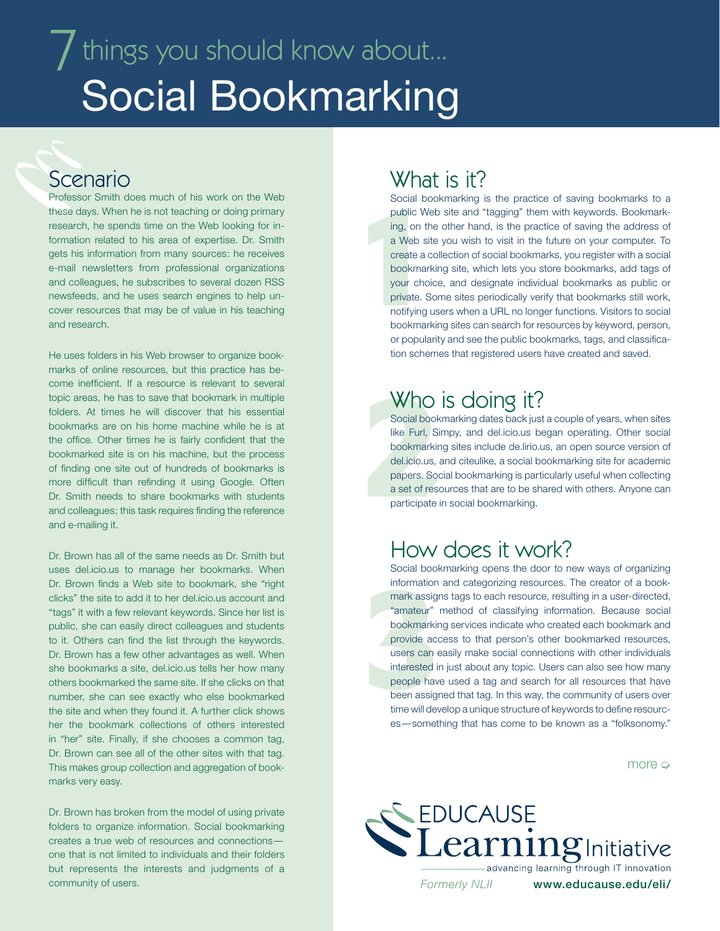# $\overline{J}$  things you should know about... Social Bookmarking

#### Scenario

Professor Smith does much of his work on the Web these days. When he is not teaching or doing primary research, he spends time on the Web looking for information related to his area of expertise. Dr. Smith gets his information from many sources: he receives e-mail newsletters from professional organizations and colleagues, he subscribes to several dozen RSS newsfeeds, and he uses search engines to help uncover resources that may be of value in his teaching and research.

He uses folders in his Web browser to organize bookmarks of online resources, but this practice has become inefficient. If a resource is relevant to several topic areas, he has to save that bookmark in multiple folders. At times he will discover that his essential bookmarks are on his home machine while he is at the office. Other times he is fairly confident that the bookmarked site is on his machine, but the process of finding one site out of hundreds of bookmarks is more difficult than refinding it using Google. Often Dr. Smith needs to share bookmarks with students and colleagues; this task requires finding the reference and e-mailing it.

Dr. Brown has all of the same needs as Dr. Smith but uses del.icio.us to manage her bookmarks. When Dr. Brown finds a Web site to bookmark, she "right clicks" the site to add it to her del.icio.us account and "tags" it with a few relevant keywords. Since her list is public, she can easily direct colleagues and students to it. Others can find the list through the keywords. Dr. Brown has a few other advantages as well. When she bookmarks a site, del.icio.us tells her how many others bookmarked the same site. If she clicks on that number, she can see exactly who else bookmarked the site and when they found it. A further click shows her the bookmark collections of others interested in "her" site. Finally, if she chooses a common tag, Dr. Brown can see all of the other sites with that tag. This makes group collection and aggregation of bookmarks very easy.

Dr. Brown has broken from the model of using private folders to organize information. Social bookmarking creates a true web of resources and connections one that is not limited to individuals and their folders but represents the interests and judgments of a community of users.

### What is it?

Social boc<br>public Web<br>ing, on the<br>a Web site<br>create a cc<br>bookmarki<br>your choic<br>private. So<br>notifying us<br>bookmarki Social bookmarking is the practice of saving bookmarks to a public Web site and "tagging" them with keywords. Bookmarking, on the other hand, is the practice of saving the address of a Web site you wish to visit in the future on your computer. To create a collection of social bookmarks, you register with a social bookmarking site, which lets you store bookmarks, add tags of your choice, and designate individual bookmarks as public or private. Some sites periodically verify that bookmarks still work, notifying users when a URL no longer functions. Visitors to social bookmarking sites can search for resources by keyword, person, or popularity and see the public bookmarks, tags, and classification schemes that registered users have created and saved.

#### Who is doing it?

Who i<br>
Social bookn<br>
like Furl, Sin<br>
bookmarking<br>
del.icio.us, a<br>
papers. Soci<br>
a set of resou<br>
participate in Social bookmarking dates back just a couple of years, when sites like Furl, Simpy, and del.icio.us began operating. Other social bookmarking sites include de.lirio.us, an open source version of del.icio.us, and citeulike, a social bookmarking site for academic papers. Social bookmarking is particularly useful when collecting a set of resources that are to be shared with others. Anyone can participate in social bookmarking.

### How does it work?

information a<br>
mark assigns<br>
"amateur" m<br>
bookmarking<br>
provide acce<br>
users can ea<br>
interested in<br>
people have<br>
been assigns<br>
time will deve Social bookmarking opens the door to new ways of organizing information and categorizing resources. The creator of a bookmark assigns tags to each resource, resulting in a user-directed, "amateur" method of classifying information. Because social bookmarking services indicate who created each bookmark and provide access to that person's other bookmarked resources, users can easily make social connections with other individuals interested in just about any topic. Users can also see how many people have used a tag and search for all resources that have been assigned that tag. In this way, the community of users over time will develop a unique structure of keywords to define resources—something that has come to be known as a "folksonomy."

more  $\Rightarrow$